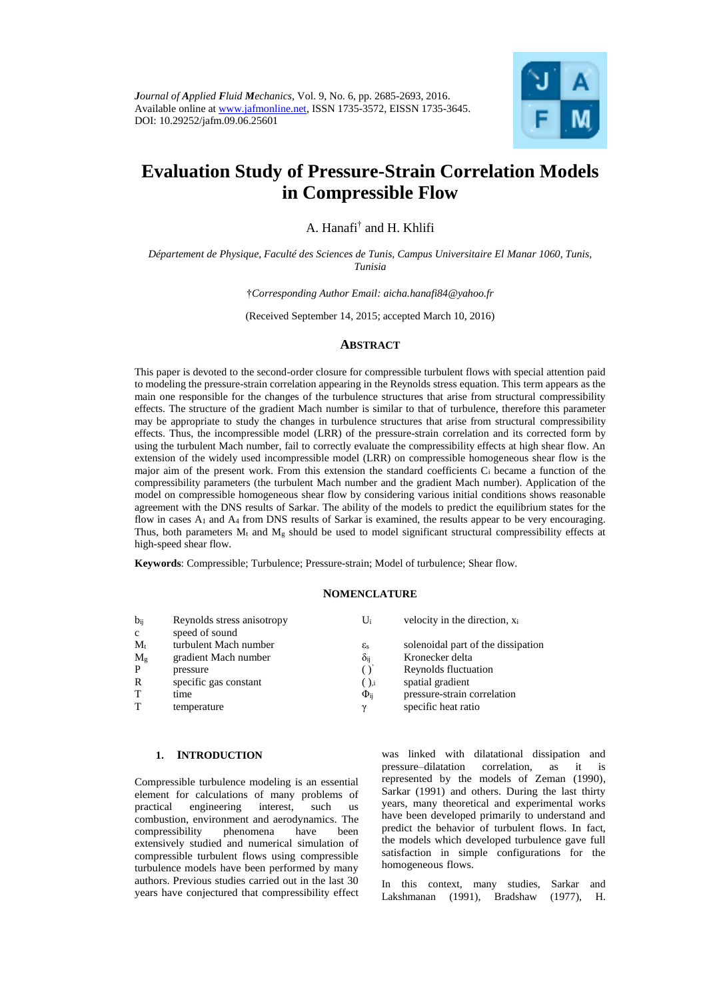

# **Evaluation Study of Pressure-Strain Correlation Models in Compressible Flow**

A. Hanafi† and H. Khlifi

*Département de Physique, Faculté des Sciences de Tunis, Campus Universitaire El Manar 1060, Tunis, Tunisia*

†*Corresponding Author Email: aicha.hanafi84@yahoo.fr*

(Received September 14, 2015; accepted March 10, 2016)

# **ABSTRACT**

This paper is devoted to the second-order closure for compressible turbulent flows with special attention paid to modeling the pressure-strain correlation appearing in the Reynolds stress equation. This term appears as the main one responsible for the changes of the turbulence structures that arise from structural compressibility effects. The structure of the gradient Mach number is similar to that of turbulence, therefore this parameter may be appropriate to study the changes in turbulence structures that arise from structural compressibility effects. Thus, the incompressible model (LRR) of the pressure-strain correlation and its corrected form by using the turbulent Mach number, fail to correctly evaluate the compressibility effects at high shear flow. An extension of the widely used incompressible model (LRR) on compressible homogeneous shear flow is the major aim of the present work. From this extension the standard coefficients  $C_i$  became a function of the compressibility parameters (the turbulent Mach number and the gradient Mach number). Application of the model on compressible homogeneous shear flow by considering various initial conditions shows reasonable agreement with the DNS results of Sarkar. The ability of the models to predict the equilibrium states for the flow in cases A<sup>1</sup> and A<sup>4</sup> from DNS results of Sarkar is examined, the results appear to be very encouraging. Thus, both parameters  $M_t$  and  $M_g$  should be used to model significant structural compressibility effects at high-speed shear flow.

**Keywords**: Compressible; Turbulence; Pressure-strain; Model of turbulence; Shear flow.

#### **NOMENCLATURE**

| $b_{ii}$     | Reynolds stress anisotropy | Ui                | velocity in the direction, $x_i$   |
|--------------|----------------------------|-------------------|------------------------------------|
| $\mathbf{c}$ | speed of sound             |                   |                                    |
| $M_t$        | turbulent Mach number      | $\varepsilon$ s   | solenoidal part of the dissipation |
| $M_{g}$      | gradient Mach number       | $\delta_{\rm ii}$ | Kronecker delta                    |
| P            | pressure                   | $\left( \right)$  | Reynolds fluctuation               |
| R            | specific gas constant      | $()_{.i}$         | spatial gradient                   |
| T            | time                       | $\Phi_{ii}$       | pressure-strain correlation        |
| T            | temperature                | $\gamma$          | specific heat ratio                |

# **1. INTRODUCTION**

Compressible turbulence modeling is an essential element for calculations of many problems of practical engineering interest, such us combustion, environment and aerodynamics. The<br>compressibility phenomena have been compressibility phenomena have been extensively studied and numerical simulation of compressible turbulent flows using compressible turbulence models have been performed by many authors. Previous studies carried out in the last 30 years have conjectured that compressibility effect was linked with dilatational dissipation and pressure–dilatation correlation, as it is represented by the models of Zeman (1990), Sarkar (1991) and others. During the last thirty years, many theoretical and experimental works have been developed primarily to understand and predict the behavior of turbulent flows. In fact, the models which developed turbulence gave full satisfaction in simple configurations for the homogeneous flows.

In this context, many studies, Sarkar and Lakshmanan (1991), Bradshaw (1977), H.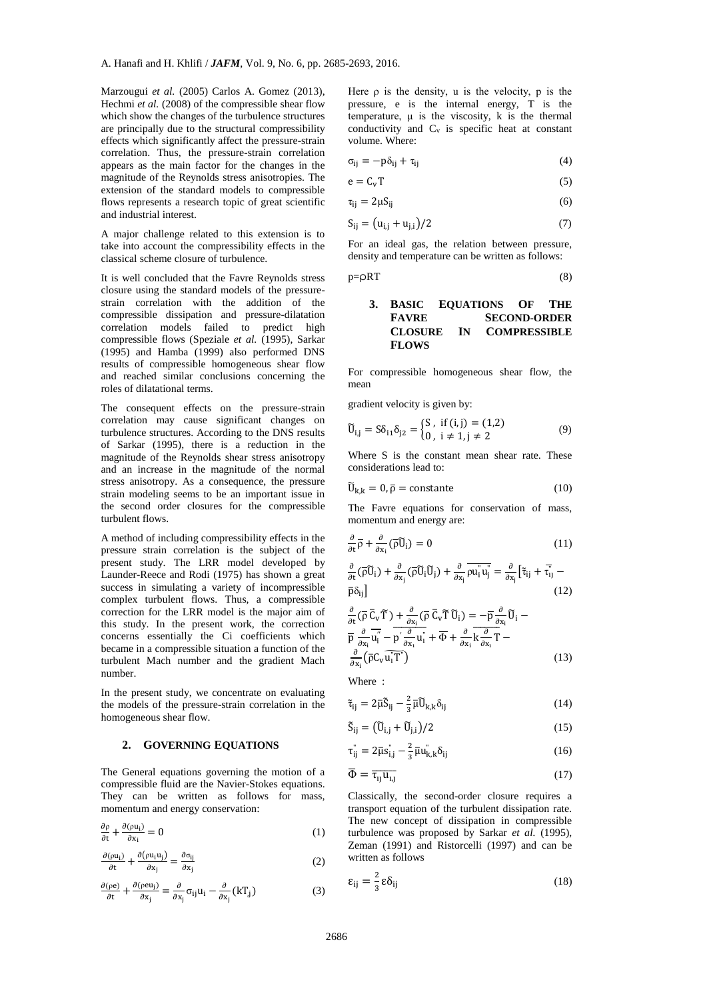Marzougui *et al.* (2005) Carlos A. Gomez (2013), Hechmi *et al.* (2008) of the compressible shear flow which show the changes of the turbulence structures are principally due to the structural compressibility effects which significantly affect the pressure-strain correlation. Thus, the pressure-strain correlation appears as the main factor for the changes in the magnitude of the Reynolds stress anisotropies. The extension of the standard models to compressible flows represents a research topic of great scientific and industrial interest.

A major challenge related to this extension is to take into account the compressibility effects in the classical scheme closure of turbulence.

It is well concluded that the Favre Reynolds stress closure using the standard models of the pressurestrain correlation with the addition of the compressible dissipation and pressure-dilatation correlation models failed to predict high compressible flows (Speziale *et al.* (1995), Sarkar (1995) and Hamba (1999) also performed DNS results of compressible homogeneous shear flow and reached similar conclusions concerning the roles of dilatational terms.

The consequent effects on the pressure-strain correlation may cause significant changes on turbulence structures. According to the DNS results of Sarkar (1995), there is a reduction in the magnitude of the Reynolds shear stress anisotropy and an increase in the magnitude of the normal stress anisotropy. As a consequence, the pressure strain modeling seems to be an important issue in the second order closures for the compressible turbulent flows.

A method of including compressibility effects in the pressure strain correlation is the subject of the present study. The LRR model developed by Launder-Reece and Rodi (1975) has shown a great success in simulating a variety of incompressible complex turbulent flows. Thus, a compressible correction for the LRR model is the major aim of this study. In the present work, the correction concerns essentially the Ci coefficients which became in a compressible situation a function of the turbulent Mach number and the gradient Mach number.

In the present study, we concentrate on evaluating the models of the pressure-strain correlation in the homogeneous shear flow.

#### **2. GOVERNING EQUATIONS**

The General equations governing the motion of a compressible fluid are the Navier-Stokes equations. They can be written as follows for mass, momentum and energy conservation:

$$
\frac{\partial \rho}{\partial t} + \frac{\partial (\rho u_i)}{\partial x_i} = 0 \tag{1}
$$

$$
\frac{\partial(\rho u_i)}{\partial t} + \frac{\partial(\rho u_i u_j)}{\partial x_j} = \frac{\partial \sigma_{ij}}{\partial x_j}
$$
 (2)

$$
\frac{\partial(\rho e)}{\partial t} + \frac{\partial(\rho e u_j)}{\partial x_j} = \frac{\partial}{\partial x_j} \sigma_{ij} u_i - \frac{\partial}{\partial x_j} (kT_{,j})
$$
(3)

Here  $\rho$  is the density, u is the velocity,  $\rho$  is the pressure, e is the internal energy, T is the temperature,  $\mu$  is the viscosity, k is the thermal conductivity and C<sub>v</sub> is specific heat at constant volume. Where:

$$
\sigma_{ij} = -p\delta_{ij} + \tau_{ij} \tag{4}
$$

$$
e = C_v T \tag{5}
$$

$$
\tau_{ij} = 2\mu S_{ij} \tag{6}
$$

$$
S_{ij} = (u_{i,j} + u_{j,i})/2
$$
 (7)

For an ideal gas, the relation between pressure, density and temperature can be written as follows:

$$
p = \rho RT \tag{8}
$$

# **3. BASIC EQUATIONS OF THE FAVRE SECOND-ORDER CLOSURE IN COMPRESSIBLE FLOWS**

For compressible homogeneous shear flow, the mean

gradient velocity is given by:

$$
\tilde{U}_{i,j} = S\delta_{i1}\delta_{j2} = \begin{cases} S, & \text{if } (i,j) = (1,2) \\ 0, & i \neq 1, j \neq 2 \end{cases}
$$
(9)

Where S is the constant mean shear rate. These considerations lead to:

$$
\widetilde{U}_{k,k} = 0, \overline{\rho} = \text{constante} \tag{10}
$$

The Favre equations for conservation of mass, momentum and energy are:

$$
\frac{\partial}{\partial t}\overline{\rho} + \frac{\partial}{\partial x_i}(\overline{\rho}\widetilde{U}_i) = 0
$$
\n(11)

$$
\frac{\partial}{\partial t}(\overline{\rho}\widetilde{U}_i) + \frac{\partial}{\partial x_j}(\overline{\rho}\widetilde{U}_i\widetilde{U}_j) + \frac{\partial}{\partial x_j}\overline{\rho u_i^* u_j^*} = \frac{\partial}{\partial x_j} \left[\tilde{\tau}_{ij} + \overline{\tau}_{ij}^* - \overline{\rho}\delta_{ij}\right]
$$
\n(12)

$$
\frac{\partial}{\partial t}(\overline{\rho}\ \overline{C}_{\nu}\widetilde{T}) + \frac{\partial}{\partial x_{i}}(\overline{\rho}\ \overline{C}_{\nu}\widetilde{T}\ \widetilde{U}_{i}) = -\overline{p}\frac{\partial}{\partial x_{i}}\widetilde{U}_{i} - \overline{p}\frac{\partial}{\partial x_{i}}\overline{u}_{i} - \overline{p'}\frac{\partial}{\partial x_{i}}u_{i}^{*} + \overline{\Phi} + \frac{\partial}{\partial x_{i}}\overline{k}\frac{\partial}{\partial x_{i}}T - \frac{\partial}{\partial x_{i}}(\overline{p}C_{\nu}\overline{u_{i}}T^{\nu})
$$
\n(13)

Where :

$$
\tilde{\tau}_{ij} = 2\bar{\mu}\tilde{S}_{ij} - \frac{2}{3}\bar{\mu}\tilde{U}_{k,k}\delta_{ij}
$$
\n(14)

$$
\tilde{S}_{ij} = (\tilde{U}_{i,j} + \tilde{U}_{j,i})/2
$$
\n(15)

$$
\tau_{ij}^{\shortparallel} = 2\bar{\mu}s_{i,j}^{\shortparallel} - \frac{2}{3}\bar{\mu}u_{k,k}^{\shortparallel}\delta_{ij}
$$
\n(16)

$$
\overline{\Phi} = \overline{\tau_{1j} u_{1,j}} \tag{17}
$$

Classically, the second-order closure requires a transport equation of the turbulent dissipation rate. The new concept of dissipation in compressible turbulence was proposed by Sarkar *et al.* (1995), Zeman (1991) and Ristorcelli (1997) and can be written as follows

$$
\varepsilon_{ij} = \frac{2}{3} \varepsilon \delta_{ij} \tag{18}
$$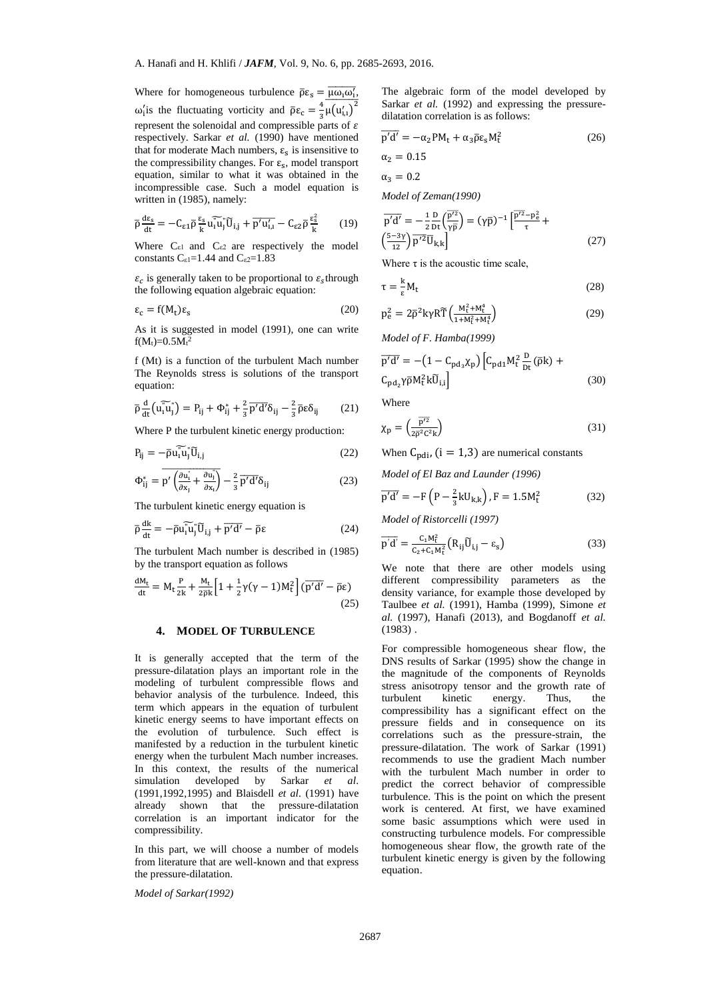Where for homogeneous turbulence  $\bar{\rho} \varepsilon_s = \overline{\mu \omega_1 \omega'_1}$ , ω'<sub>i</sub> is the fluctuating vorticity and  $\bar{\rho}\epsilon_c = \frac{4}{3}$  $\frac{4}{3}\overline{\mu(u'_{1,1})}^2$ represent the solenoidal and compressible parts of  $\varepsilon$ respectively. Sarkar *et al.* (1990) have mentioned that for moderate Mach numbers,  $\varepsilon_s$  is insensitive to the compressibility changes. For  $\varepsilon_s$ , model transport equation, similar to what it was obtained in the incompressible case. Such a model equation is written in (1985), namely:

$$
\overline{\rho} \frac{d\varepsilon_s}{dt} = -C_{\varepsilon1} \overline{\rho} \frac{\varepsilon_s}{k} u_1 \overline{\tilde{u}}_j \overline{\tilde{u}}_{i,j} + \overline{p'u'_{i,i}} - C_{\varepsilon2} \overline{\rho} \frac{\varepsilon_s^2}{k} \qquad (19)
$$

Where  $C_{\epsilon 1}$  and  $C_{\epsilon 2}$  are respectively the model constants  $C_{\epsilon 1}$ =1.44 and  $C_{\epsilon 2}$ =1.83

 $\varepsilon_c$  is generally taken to be proportional to  $\varepsilon_s$ through the following equation algebraic equation:

$$
\varepsilon_{\rm c} = f(M_{\rm t})\varepsilon_{\rm s} \tag{20}
$$

As it is suggested in model (1991), one can write  $f(M_t)=0.5M_t^2$ 

f (Mt) is a function of the turbulent Mach number The Reynolds stress is solutions of the transport equation:

$$
\overline{\rho}\frac{\mathrm{d}}{\mathrm{dt}}\left(\widetilde{\mathbf{u}_{i}\mathbf{u}}_{j}^{\top}\right) = \mathbf{P}_{ij} + \Phi_{ij}^{*} + \frac{2}{3}\overline{\rho'd'}\delta_{ij} - \frac{2}{3}\overline{\rho}\epsilon\delta_{ij} \qquad (21)
$$

Where P the turbulent kinetic energy production:

$$
P_{ij} = -\bar{\rho} u_i \widetilde{u}_j \widetilde{U}_{i,j} \tag{22}
$$

$$
\Phi_{ij}^* = \overline{p' \left(\frac{\partial u_i^*}{\partial x_j} + \frac{\partial u_j^*}{\partial x_i}\right)} - \frac{2}{3} \overline{p'd'} \delta_{ij}
$$
 (23)

The turbulent kinetic energy equation is

$$
\bar{p}\frac{dk}{dt} = -\bar{p}\tilde{u}_{i}\tilde{u}_{j}^{*}\tilde{U}_{i,j} + \bar{p'}\tilde{d'} - \bar{p}\varepsilon
$$
\n(24)

The turbulent Mach number is described in (1985) by the transport equation as follows

$$
\frac{dM_t}{dt} = M_t \frac{P}{2k} + \frac{M_t}{2\bar{\rho}k} \left[ 1 + \frac{1}{2} \gamma (\gamma - 1) M_t^2 \right] (\overline{p'd'} - \overline{\rho} \varepsilon)
$$
\n(25)

## **4. MODEL OF TURBULENCE**

It is generally accepted that the term of the pressure-dilatation plays an important role in the modeling of turbulent compressible flows and behavior analysis of the turbulence. Indeed, this term which appears in the equation of turbulent kinetic energy seems to have important effects on the evolution of turbulence. Such effect is manifested by a reduction in the turbulent kinetic energy when the turbulent Mach number increases. In this context, the results of the numerical simulation developed by Sarkar *et al*. (1991,1992,1995) and Blaisdell *et al*. (1991) have already shown that the pressure-dilatation correlation is an important indicator for the compressibility.

In this part, we will choose a number of models from literature that are well-known and that express the pressure-dilatation.

*Model of Sarkar(1992)*

The algebraic form of the model developed by Sarkar *et al.* (1992) and expressing the pressuredilatation correlation is as follows:

$$
\overline{p'd'} = -\alpha_2 PM_t + \alpha_3 \overline{\rho} \varepsilon_s M_t^2
$$
 (26)

$$
\alpha_2=0.15
$$

 $\alpha_3 = 0.2$ 

*Model of Zeman(1990)*

$$
\overline{p'd'} = -\frac{1}{2} \frac{D}{Dt} \left( \frac{\overline{p'}^2}{\gamma \overline{p}} \right) = (\gamma \overline{p})^{-1} \left( \frac{\overline{p'}^2 - p_e^2}{\tau} + \left( \frac{5 - 3\gamma}{12} \right) \overline{p'^2} \overline{U}_{k,k} \right)
$$
\n(27)

Where  $\tau$  is the acoustic time scale,

$$
\tau = \frac{k}{\varepsilon} M_t \tag{28}
$$

$$
p_e^2 = 2\bar{\rho}^2 k \gamma R \widetilde{T}\left(\frac{M_t^2 + M_t^4}{1 + M_t^2 + M_t^4}\right) \tag{29}
$$

*Model of F. Hamba(1999)*

$$
\overline{p'd'} = -(1 - C_{\text{pd}_3}\chi_p) \left[ C_{\text{pd}_1} M_t^2 \frac{D}{Dt} (\bar{\rho}k) + C_{\text{pd}_2} \gamma \bar{\rho} M_t^2 k \widetilde{U}_{i,i} \right]
$$
\n(30)

Where

$$
\chi_{\rm p} = \left(\frac{\overline{\rm p}^{\prime 2}}{2\overline{\rm p}^2 \rm C^2 \rm k}\right) \tag{31}
$$

When  $C_{\text{pdi}}$ , (i = 1,3) are numerical constants

*Model of El Baz and Launder (1996)*

$$
\overline{p'd'} = -F(P - \frac{2}{3}kU_{k,k}), F = 1.5M_t^2
$$
 (32)

*Model of Ristorcelli (1997)*

$$
\overline{p'd'} = \frac{C_1 M_t^2}{C_2 + C_1 M_t^2} (R_{ij} \overline{U}_{i,j} - \varepsilon_s)
$$
\n(33)

We note that there are other models using different compressibility parameters as the density variance, for example those developed by Taulbee *et al.* (1991), Hamba (1999), Simone *et al.* (1997), Hanafi (2013), and Bogdanoff *et al.* (1983) .

For compressible homogeneous shear flow, the DNS results of Sarkar (1995) show the change in the magnitude of the components of Reynolds stress anisotropy tensor and the growth rate of turbulent kinetic energy. Thus, the compressibility has a significant effect on the pressure fields and in consequence on its correlations such as the pressure-strain, the pressure-dilatation. The work of Sarkar (1991) recommends to use the gradient Mach number with the turbulent Mach number in order to predict the correct behavior of compressible turbulence. This is the point on which the present work is centered. At first, we have examined some basic assumptions which were used in constructing turbulence models. For compressible homogeneous shear flow, the growth rate of the turbulent kinetic energy is given by the following equation.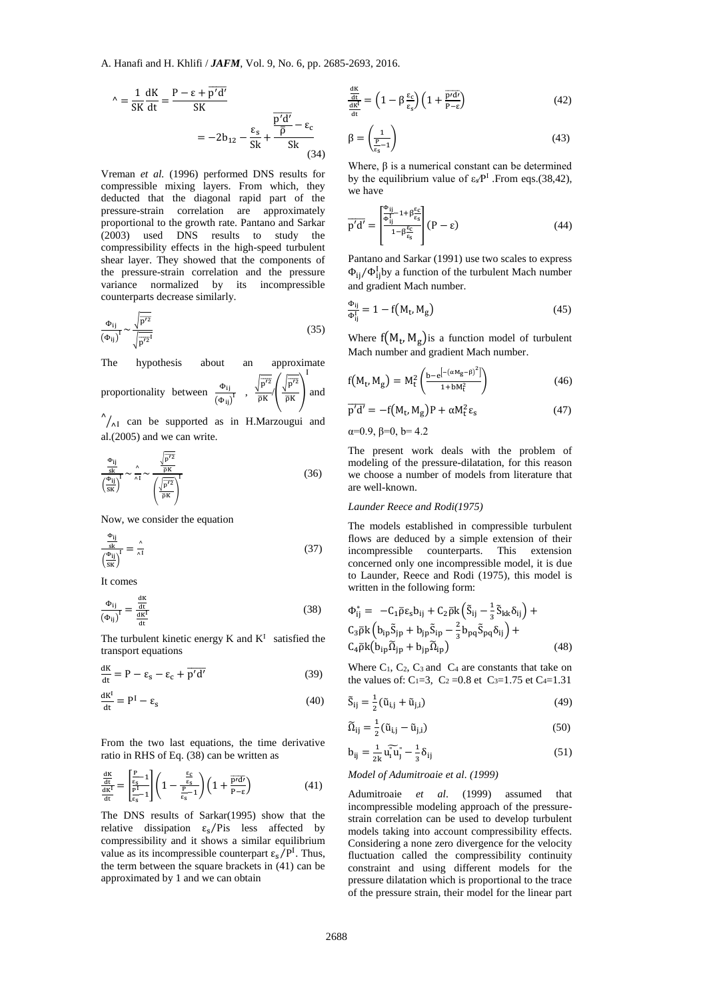$$
\Delta = \frac{1}{SK} \frac{dK}{dt} = \frac{P - \epsilon + \overline{p'd'}}{SK} = -2b_{12} - \frac{\epsilon_s}{Sk} + \frac{\frac{\overline{p'd'}}{\overline{p}} - \epsilon_c}{Sk} = \frac{\beta}{\beta} \left(1 + \frac{\overline{p'}}{\frac{\overline{q}K}{\overline{q}k}}\right)
$$

Vreman *et al.* (1996) performed DNS results for compressible mixing layers. From which, they deducted that the diagonal rapid part of the pressure-strain correlation are approximately proportional to the growth rate. Pantano and Sarkar (2003) used DNS results to study the compressibility effects in the high-speed turbulent shear layer. They showed that the components of the pressure-strain correlation and the pressure variance normalized by its incompressible counterparts decrease similarly.

$$
\frac{\Phi_{ij}}{\left(\Phi_{ij}\right)^{I}} \sim \frac{\sqrt{\overline{p'^{2}}}}{\sqrt{\overline{p'^{2}}^{I}}}
$$
\n(35)

The hypothesis about an approximate  $\overline{\phantom{0}}$ 

proportionality between 
$$
\frac{\Phi_{ij}}{(\Phi_{ij})^1}
$$
,  $\frac{\sqrt{p'^2}}{\bar{p}K} \left(\frac{\sqrt{p'^2}}{\bar{p}K}\right)$  and

 $^{\wedge}$ / $_{\wedge}$ I can be supported as in H.Marzougui and al.(2005) and we can write.

$$
\frac{\frac{\Phi_{ij}}{sk}}{\left(\frac{\Phi_{ij}}{sk}\right)^{T}} \sim \frac{\hat{\lambda}}{\lambda 1} \sim \frac{\frac{\sqrt{p^{\gamma 2}}}{\bar{\rho}K}}{\left(\frac{\sqrt{p^{\gamma 2}}}{\bar{\rho}K}\right)^{T}}
$$
(36)

Now, we consider the equation

$$
\frac{\frac{\Phi_{ij}}{sk}}{\left(\frac{\Phi_{ij}}{sk}\right)^{1}} = \frac{\hat{\lambda}}{\hat{\lambda}1}
$$
\n(37)

It comes

$$
\frac{\Phi_{ij}}{\left(\Phi_{ij}\right)^{I}} = \frac{\frac{dK}{dt}}{\frac{dK^{I}}{dt}}
$$
\n(38)

The turbulent kinetic energy  $K$  and  $K<sup>I</sup>$  satisfied the transport equations

$$
\frac{dK}{dt} = P - \varepsilon_s - \varepsilon_c + \overline{p'd'} \tag{39}
$$

$$
\frac{dK^I}{dt} = P^I - \varepsilon_s \tag{40}
$$

From the two last equations, the time derivative ratio in RHS of Eq. (38) can be written as

$$
\frac{\frac{dK}{dt}}{\frac{dK}{dt}} = \left[\frac{\frac{P}{\epsilon_{s}}-1}{\frac{P^{1}}{\epsilon_{s}}-1}\right]\left(1 - \frac{\frac{\epsilon_{c}}{\epsilon_{s}}}{\frac{P}{\epsilon_{s}}-1}\right)\left(1 + \frac{\overline{p'd'}}{P-\epsilon}\right) \tag{41}
$$

The DNS results of Sarkar(1995) show that the relative dissipation  $\varepsilon_s$ /Pis less affected by compressibility and it shows a similar equilibrium value as its incompressible counterpart  $\varepsilon_{s}/P^{I}$ . Thus, the term between the square brackets in (41) can be approximated by 1 and we can obtain

$$
\frac{\frac{dK}{dt}}{\frac{dK}{dt}} = \left(1 - \beta \frac{\varepsilon_c}{\varepsilon_s}\right) \left(1 + \frac{\overline{p'd}}{p - \varepsilon}\right) \tag{42}
$$

$$
\beta = \left(\frac{1}{\frac{P}{\epsilon_s} - 1}\right) \tag{43}
$$

Where,  $\beta$  is a numerical constant can be determined by the equilibrium value of  $\varepsilon_{\rm s}P^{\rm I}$  . From eqs.(38,42), we have

$$
\overline{p'd'} = \left[\frac{\Phi_{ij} - 1 + \beta \frac{\epsilon_c}{\epsilon_s}}{1 - \beta \frac{\epsilon_c}{\epsilon_s}}\right] (P - \epsilon)
$$
(44)

Pantano and Sarkar (1991) use two scales to express  $\Phi_{ij}/\Phi_{ij}^{\text{I}}$  by a function of the turbulent Mach number and gradient Mach number.

$$
\frac{\Phi_{ij}}{\Phi_{ij}^L} = 1 - f(M_t, M_g)
$$
\n(45)

Where  $f(M_t, M_g)$  is a function model of turbulent Mach number and gradient Mach number.

$$
f(M_t, M_g) = M_t^2 \left( \frac{b - e^{[-(\alpha M_g - \beta)^2]}}{1 + b M_t^2} \right)
$$
 (46)

$$
\overline{p'd'} = -f(M_t, M_g)P + \alpha M_t^2 \varepsilon_s \tag{47}
$$

α=0.9, β=0, b= 4.2

The present work deals with the problem of modeling of the pressure-dilatation, for this reason we choose a number of models from literature that are well-known.

#### *Launder Reece and Rodi(1975)*

The models established in compressible turbulent flows are deduced by a simple extension of their incompressible counterparts. This extension concerned only one incompressible model, it is due to Launder, Reece and Rodi (1975), this model is written in the following form:

$$
\Phi_{ij}^* = -C_1 \bar{\rho} \varepsilon_s b_{ij} + C_2 \bar{\rho} k \left( \tilde{S}_{ij} - \frac{1}{3} \tilde{S}_{kk} \delta_{ij} \right) +
$$
  
\n
$$
C_3 \bar{\rho} k \left( b_{ip} \tilde{S}_{jp} + b_{jp} \tilde{S}_{ip} - \frac{2}{3} b_{pq} \tilde{S}_{pq} \delta_{ij} \right) +
$$
  
\n
$$
C_4 \bar{\rho} k \left( b_{ip} \tilde{\Omega}_{jp} + b_{jp} \tilde{\Omega}_{ip} \right)
$$
\n(48)

Where  $C_1$ ,  $C_2$ ,  $C_3$  and  $C_4$  are constants that take on the values of: C<sub>1</sub>=3, C<sub>2</sub> = 0.8 et C<sub>3</sub>=1.75 et C<sub>4</sub>=1.31

$$
\tilde{S}_{ij} = \frac{1}{2} (\tilde{u}_{i,j} + \tilde{u}_{j,i})
$$
\n(49)

$$
\widetilde{\Omega}_{ij} = \frac{1}{2} (\widetilde{u}_{i,j} - \widetilde{u}_{j,i})
$$
\n(50)

$$
b_{ij} = \frac{1}{2k} \widetilde{u_i u_j} - \frac{1}{3} \delta_{ij}
$$
 (51)

#### *Model of Adumitroaie et al. (1999)*

Adumitroaie *et al*. (1999) assumed that incompressible modeling approach of the pressurestrain correlation can be used to develop turbulent models taking into account compressibility effects. Considering a none zero divergence for the velocity fluctuation called the compressibility continuity constraint and using different models for the pressure dilatation which is proportional to the trace of the pressure strain, their model for the linear part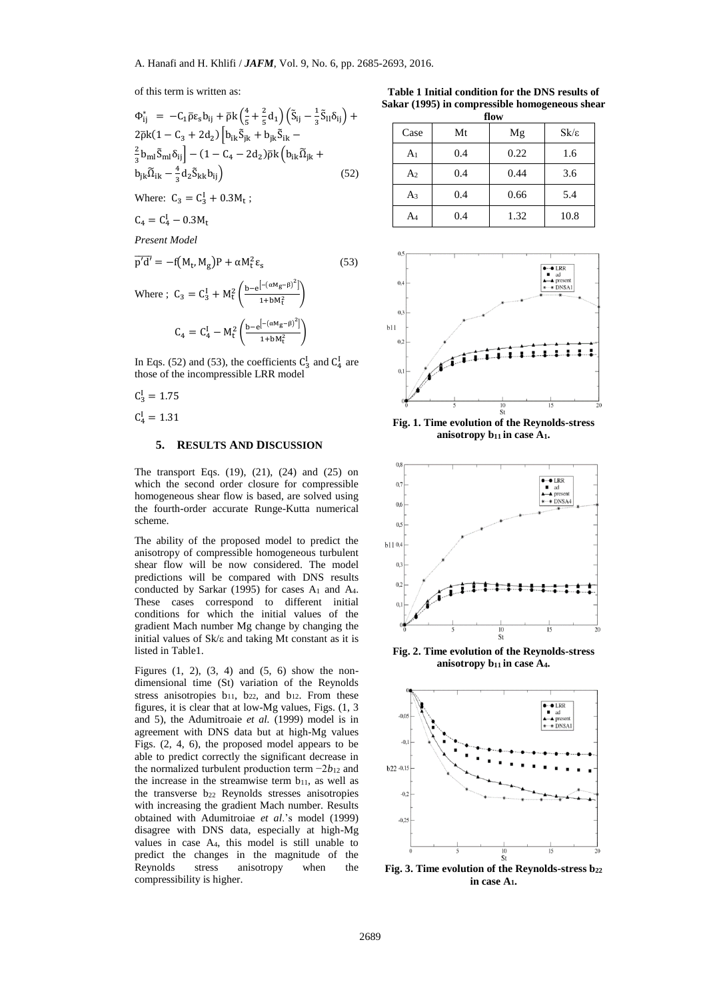of this term is written as:

$$
\Phi_{ij}^{*} = -C_{1}\bar{\rho}\epsilon_{s}b_{ij} + \bar{\rho}k\left(\frac{4}{5} + \frac{2}{5}d_{1}\right)\left(\tilde{S}_{ij} - \frac{1}{3}\tilde{S}_{ll}\delta_{ij}\right) + 2\bar{\rho}k(1 - C_{3} + 2d_{2})\left[b_{ik}\tilde{S}_{jk} + b_{jk}\tilde{S}_{ik} - \frac{2}{3}b_{ml}\tilde{S}_{ml}\delta_{ij}\right] - (1 - C_{4} - 2d_{2})\bar{\rho}k\left(b_{ik}\tilde{\Omega}_{jk} + b_{jk}\tilde{\Omega}_{ik} - \frac{4}{3}d_{2}\tilde{S}_{kk}b_{ij}\right)
$$
\n(52)

Where:  $C_3 = C_3^{\text{I}} + 0.3 M_{\text{t}}$ ;

 $C_4 = C_4^I - 0.3 M_t$ 

*Present Model*

$$
\overline{p'd'} = -f(M_t, M_g)P + \alpha M_t^2 \varepsilon_s \tag{53}
$$

Where ; 
$$
C_3 = C_3^I + M_t^2 \left( \frac{b - e^{[-(\alpha M_g - \beta)^2]}}{1 + b M_t^2} \right)
$$
  
 $C_4 = C_4^I - M_t^2 \left( \frac{b - e^{[-(\alpha M_g - \beta)^2]}}{1 + b M_t^2} \right)$ 

In Eqs. (52) and (53), the coefficients  $C_3^I$  and  $C_4^I$  are those of the incompressible LRR model

 $C_3^I = 1.75$  $C_4^I = 1.31$ 

## **5. RESULTS AND DISCUSSION**

The transport Eqs. (19), (21), (24) and (25) on which the second order closure for compressible homogeneous shear flow is based, are solved using the fourth-order accurate Runge-Kutta numerical scheme.

The ability of the proposed model to predict the anisotropy of compressible homogeneous turbulent shear flow will be now considered. The model predictions will be compared with DNS results conducted by Sarkar (1995) for cases  $A_1$  and  $A_4$ . These cases correspond to different initial conditions for which the initial values of the gradient Mach number Mg change by changing the initial values of Sk/ε and taking Mt constant as it is listed in Table1.

Figures  $(1, 2)$ ,  $(3, 4)$  and  $(5, 6)$  show the nondimensional time (St) variation of the Reynolds stress anisotropies b<sub>11</sub>, b<sub>22</sub>, and b<sub>12</sub>. From these figures, it is clear that at low-Mg values, Figs. (1, 3 and 5), the Adumitroaie *et al.* (1999) model is in agreement with DNS data but at high-Mg values Figs. (2, 4, 6), the proposed model appears to be able to predict correctly the significant decrease in the normalized turbulent production term −2*b*<sup>12</sup> and the increase in the streamwise term  $b_{11}$ , as well as the transverse b<sup>22</sup> Reynolds stresses anisotropies with increasing the gradient Mach number. Results obtained with Adumitroiae *et al*.'s model (1999) disagree with DNS data, especially at high-Mg values in case A4, this model is still unable to predict the changes in the magnitude of the Reynolds stress anisotropy when the compressibility is higher.

**Table 1 Initial condition for the DNS results of Sakar (1995) in compressible homogeneous shear flow**

| 11V 11         |     |      |                  |  |  |
|----------------|-----|------|------------------|--|--|
| Case           | Mt  | Mg   | $Sk/\varepsilon$ |  |  |
| A <sub>1</sub> | 0.4 | 0.22 | 1.6              |  |  |
| A <sub>2</sub> | 0.4 | 0.44 | 3.6              |  |  |
| $A_3$          | 0.4 | 0.66 | 5.4              |  |  |
| A4             | 0.4 | 1.32 | 10.8             |  |  |



**Fig. 1. Time evolution of the Reynolds-stress anisotropy b11 in case A1.**



**Fig. 2. Time evolution of the Reynolds-stress anisotropy b11 in case A4.**



**Fig. 3. Time evolution of the Reynolds-stress b<sup>22</sup> in case A1.**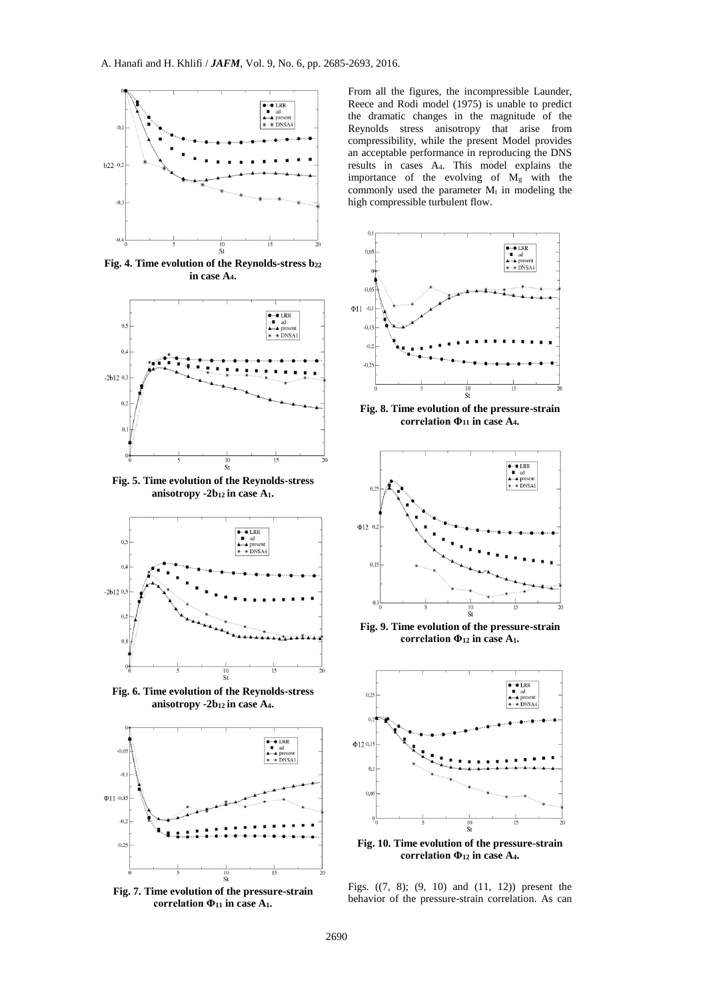

**Fig. 4. Time evolution of the Reynolds-stress b<sup>22</sup> in case A4.**



**Fig. 5. Time evolution of the Reynolds-stress anisotropy -2b12 in case A1.**



**Fig. 6. Time evolution of the Reynolds-stress anisotropy -2b12 in case A4.**



**Fig. 7. Time evolution of the pressure-strain correlation Φ<sup>11</sup> in case A1.**

From all the figures, the incompressible Launder, Reece and Rodi model (1975) is unable to predict the dramatic changes in the magnitude of the Reynolds stress anisotropy that arise from compressibility, while the present Model provides an acceptable performance in reproducing the DNS results in cases A4. This model explains the importance of the evolving of M<sup>g</sup> with the commonly used the parameter  $M_t$  in modeling the high compressible turbulent flow.



**Fig. 8. Time evolution of the pressure-strain correlation Φ<sup>11</sup> in case A4.**



**Fig. 9. Time evolution of the pressure-strain correlation Φ<sup>12</sup> in case A1.**



**Fig. 10. Time evolution of the pressure-strain correlation Φ<sup>12</sup> in case A4.**

Figs. ((7, 8); (9, 10) and (11, 12)) present the behavior of the pressure-strain correlation. As can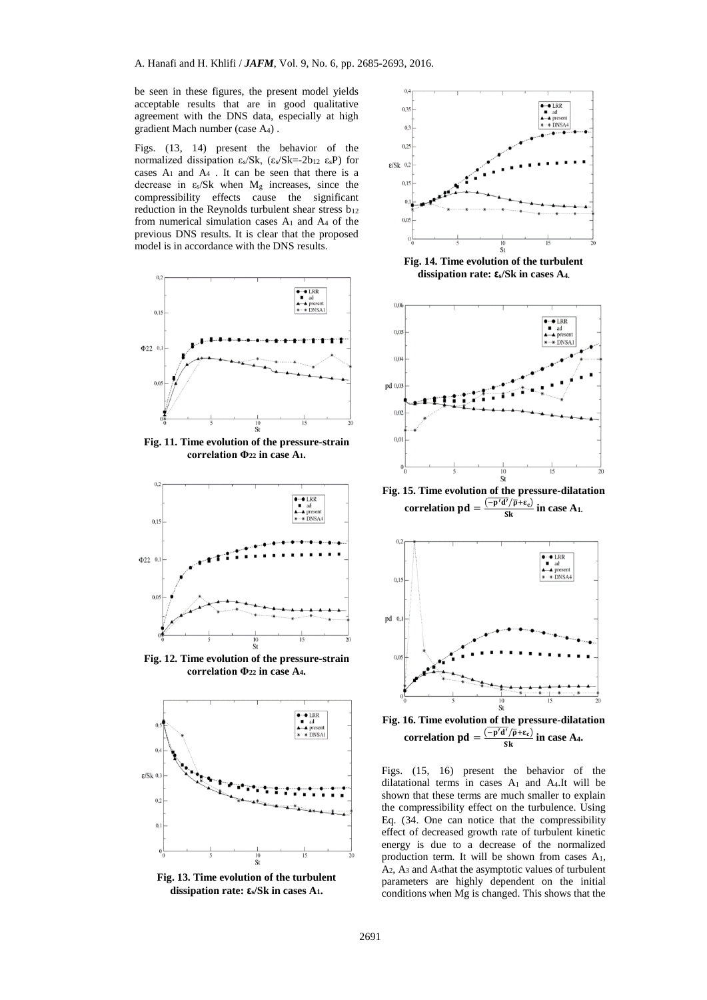be seen in these figures, the present model yields acceptable results that are in good qualitative agreement with the DNS data, especially at high gradient Mach number (case A4) .

Figs. (13, 14) present the behavior of the normalized dissipation εs/Sk, (εs/Sk=-2b<sup>12</sup> εsP) for cases  $A_1$  and  $A_4$ . It can be seen that there is a decrease in  $\varepsilon_s/Sk$  when  $M_g$  increases, since the compressibility effects cause the significant reduction in the Reynolds turbulent shear stress  $b_{12}$ from numerical simulation cases A<sup>1</sup> and A<sup>4</sup> of the previous DNS results. It is clear that the proposed model is in accordance with the DNS results.



**Fig. 11. Time evolution of the pressure-strain correlation Φ<sup>22</sup> in case A1.**



**Fig. 12. Time evolution of the pressure-strain correlation Φ<sup>22</sup> in case A4.**



**Fig. 13. Time evolution of the turbulent dissipation rate: εs/Sk in cases A1.**



**Fig. 14. Time evolution of the turbulent dissipation rate: εs/Sk in cases A4.**



**Fig. 15. Time evolution of the pressure-dilatation correlation pd** =  $\frac{\overline{(-p'd'/\overline{p}+\epsilon_c)}}{Sk}$  in case A<sub>1</sub>.



**Fig. 16. Time evolution of the pressure-dilatation**  correlation  $\mathbf{p}\mathbf{d} = \frac{(-\mathbf{p'}\mathbf{d'}/\overline{\mathbf{p}} + \varepsilon_c)}{\mathbf{S}\mathbf{k}}$  in case A<sub>4</sub>.

Figs. (15, 16) present the behavior of the dilatational terms in cases A<sup>1</sup> and A4.It will be shown that these terms are much smaller to explain the compressibility effect on the turbulence. Using Eq. (34. One can notice that the compressibility effect of decreased growth rate of turbulent kinetic energy is due to a decrease of the normalized production term. It will be shown from cases A1, A2, A<sup>3</sup> and A4that the asymptotic values of turbulent parameters are highly dependent on the initial conditions when Mg is changed. This shows that the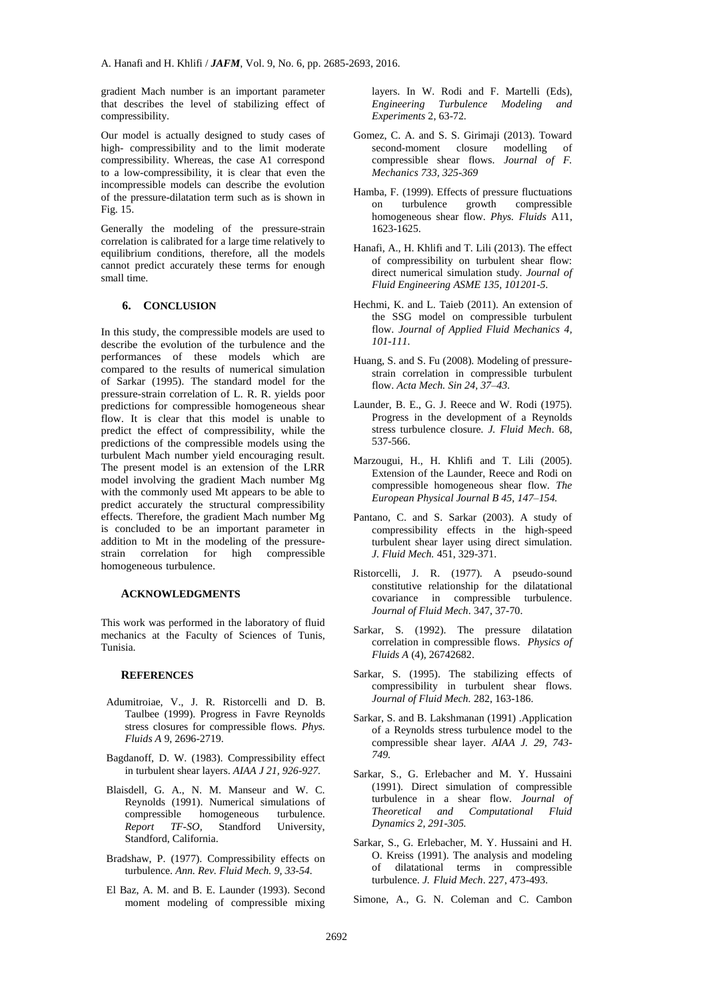gradient Mach number is an important parameter that describes the level of stabilizing effect of compressibility.

Our model is actually designed to study cases of high- compressibility and to the limit moderate compressibility. Whereas, the case A1 correspond to a low-compressibility, it is clear that even the incompressible models can describe the evolution of the pressure-dilatation term such as is shown in Fig. 15.

Generally the modeling of the pressure-strain correlation is calibrated for a large time relatively to equilibrium conditions, therefore, all the models cannot predict accurately these terms for enough small time.

#### **6. CONCLUSION**

In this study, the compressible models are used to describe the evolution of the turbulence and the performances of these models which are compared to the results of numerical simulation of Sarkar (1995). The standard model for the pressure-strain correlation of L. R. R. yields poor predictions for compressible homogeneous shear flow. It is clear that this model is unable to predict the effect of compressibility, while the predictions of the compressible models using the turbulent Mach number yield encouraging result. The present model is an extension of the LRR model involving the gradient Mach number Mg with the commonly used Mt appears to be able to predict accurately the structural compressibility effects. Therefore, the gradient Mach number Mg is concluded to be an important parameter in addition to Mt in the modeling of the pressure-<br>strain correlation for high compressible strain correlation for high compressible homogeneous turbulence.

#### **ACKNOWLEDGMENTS**

This work was performed in the laboratory of fluid mechanics at the Faculty of Sciences of Tunis, Tunisia.

#### **REFERENCES**

- Adumitroiae, V., J. R. Ristorcelli and D. B. Taulbee (1999). Progress in Favre Reynolds stress closures for compressible flows. *Phys. Fluids A* 9, 2696-2719.
- Bagdanoff, D. W. (1983). Compressibility effect in turbulent shear layers. *AIAA J 21, 926-927.*
- Blaisdell, G. A., N. M. Manseur and W. C. Reynolds (1991). Numerical simulations of compressible homogeneous turbulence. *Report TF-SO,* Standford University, Standford, California.
- Bradshaw, P. (1977). Compressibility effects on turbulence. *Ann. Rev. Fluid Mech. 9, 33-54.*
- El Baz, A. M. and B. E. Launder (1993). Second moment modeling of compressible mixing

layers. In W. Rodi and F. Martelli (Eds), *Engineering Turbulence Modeling and Experiments* 2, 63-72.

- Gomez, C. A. and S. S. Girimaji (2013). Toward second-moment closure modelling of compressible shear flows. *[Journal of F.](http://journals.cambridge.org/action/displayJournal?jid=FLM)  [Mechanics](http://journals.cambridge.org/action/displayJournal?jid=FLM) [733,](http://journals.cambridge.org/action/displayIssue?jid=FLM&volumeId=733&seriesId=0&issueId=-1) 325-369*
- Hamba, F. (1999). Effects of pressure fluctuations on turbulence growth compressible homogeneous shear flow. *Phys. Fluids* A11, 1623-1625.
- Hanafi, A., H. Khlifi and T. Lili (2013). The effect of compressibility on turbulent shear flow: direct numerical simulation study. *Journal of Fluid Engineering ASME 135, 101201-5.*
- Hechmi, K. and L. Taieb (2011). An extension of the SSG model on compressible turbulent flow. *Journal of Applied Fluid Mechanics 4, 101-111.*
- Huang, S. and S. Fu (2008). Modeling of pressurestrain correlation in compressible turbulent flow. *Acta Mech. Sin 24, 37–43.*
- Launder, B. E., G. J. Reece and W. Rodi (1975). Progress in the development of a Reynolds stress turbulence closure*. J. Fluid Mech*. 68, 537-566.
- Marzougui, H., H. Khlifi and T. Lili (2005). Extension of the Launder, Reece and Rodi on compressible homogeneous shear flow*. The European Physical Journal B 45, 147–154.*
- Pantano, C. and S. Sarkar (2003). A study of compressibility effects in the high-speed turbulent shear layer using direct simulation. *J. Fluid Mech.* 451, 329-371.
- Ristorcelli, J. R. (1977). A pseudo-sound constitutive relationship for the dilatational covariance in compressible turbulence. *Journal of Fluid Mech*. 347, 37-70.
- Sarkar, S. (1992). The pressure dilatation correlation in compressible flows. *Physics of Fluids A* (4), 26742682.
- Sarkar, S. (1995). The stabilizing effects of compressibility in turbulent shear flows. *Journal of Fluid Mech.* 282, 163-186.
- Sarkar, S. and B. Lakshmanan (1991) .Application of a Reynolds stress turbulence model to the compressible shear layer. *AIAA J. 29, 743- 749.*
- Sarkar, S., G. Erlebacher and M. Y. Hussaini (1991). Direct simulation of compressible turbulence in a shear flow. *Journal of Theoretical and Computational Fluid Dynamics 2, 291-305.*
- Sarkar, S., G. Erlebacher, M. Y. Hussaini and H. O. Kreiss (1991). The analysis and modeling of dilatational terms in compressible turbulence. *J. Fluid Mech*. 227, 473-493.
- Simone, A., G. N. Coleman and C. Cambon